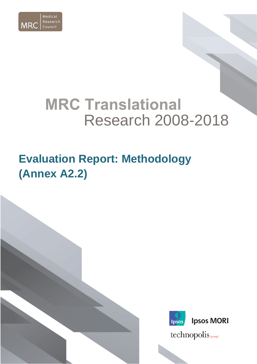

# **MRC Translational** Research 2008-2018

## **Evaluation Report: Methodology (Annex A2.2)**

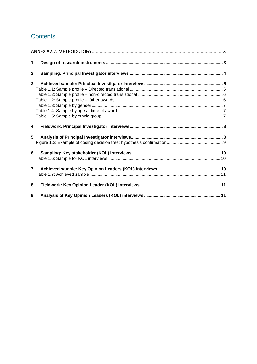## **Contents**

| 1              |  |
|----------------|--|
| $\mathbf 2$    |  |
| 3              |  |
|                |  |
|                |  |
|                |  |
|                |  |
|                |  |
|                |  |
|                |  |
| 4              |  |
| 5              |  |
|                |  |
| 6              |  |
|                |  |
| $\overline{7}$ |  |
|                |  |
| 8              |  |
| 9              |  |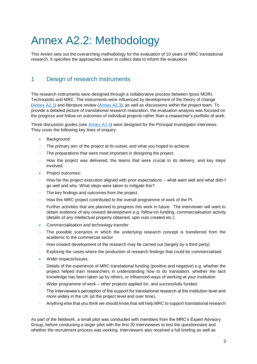## <span id="page-2-0"></span>Annex A2.2: Methodology

This Annex sets out the overarching methodology for the evaluation of 10 years of MRC translational research. It specifies the approaches taken to collect data to inform the evaluation.

## <span id="page-2-1"></span>1 Design of research instruments

The research instruments were designed through a collaborative process between Ipsos MORI, Technopolis and MRC. The instruments were influenced by development of the theory of change [\(Annex A2.1\)](https://mrc.ukri.org/publications/browse/10-year-translation-research-evaluation-report-2019-annex-1/) and literature review [\(Annex](https://mrc.ukri.org/publications/browse/10-year-translation-research-evaluation-report-2019-annex-3/) A2.3), as well as discussions within the project team. To provide a detailed picture of translational research maturation, the evaluation analysis was focused on the progress and follow-on outcomes of individual projects rather than a researcher's portfolio of work.

Three discussion guides (see [Annex A2.4\)](https://mrc.ukri.org/publications/browse/10-year-translation-research-evaluation-report-2019-annex-4/) were designed for the Principal Investigator interviews. They cover the following key lines of enquiry:

- Background:
- The primary aim of the project at its outset, and what you hoped to achieve.
- The preparations that were most important in designing the project.
- How the project was delivered, the teams that were crucial to its delivery, and key steps involved.
- Project outcomes:
- How far the project execution aligned with prior expectations what went well and what didn't go well and why. What steps were taken to mitigate this?
- The key findings and outcomes from the project.
- How this MRC project contributed to the overall programme of work of the PI.
- Further activities that are planned to progress this work in future. The interviewer will want to obtain evidence of any onward development e.g. follow-on funding, commercialisation activity (details of any intellectual property obtained, spin outs created etc.).
- Commercialisation and technology transfer:
- The possible scenarios in which the underlying research concept is transferred from the academic to the commercial sector
- How onward development of the research may be carried out (largely by a third party)
- Exploring the cases where the production of research findings that could be commercialised
- Wider impacts/issues:
- Details of the experience of MRC translational funding (positive and negative) e.g. whether the project helped train researchers in understanding how to do translation, whether the tacit knowledge has been taken up by others, or influenced ways of working at your institution
- Wider programme of work other projects applied for, and successfully funded
- The Interviewee's perception of the support for translational research at the institution level and more widely in the UK (at the project level and over time).
- Anything else that you think we should know that will help MRC to support translational research

As part of the fieldwork, a small pilot was conducted with members from the MRC's Expert Advisory Group, before conducting a larger pilot with the first 30 interviewees to test the questionnaire and whether the recruitment process was working. Interviewers also received a full briefing as well as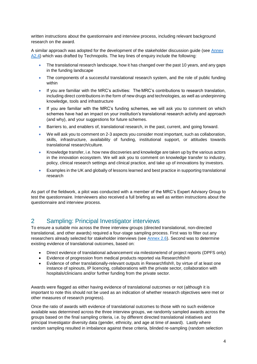written instructions about the questionnaire and interview process, including relevant background research on the award.

A similar approach was adopted for the development of the stakeholder discussion guide (see [Annex](https://mrc.ukri.org/publications/browse/10-year-translation-research-evaluation-report-2019-annex-4/)  [A2.4\)](https://mrc.ukri.org/publications/browse/10-year-translation-research-evaluation-report-2019-annex-4/) which was drafted by Technopolis. The key lines of enquiry include the following:

- The translational research landscape, how it has changed over the past 10 years, and any gaps in the funding landscape
- The components of a successful translational research system, and the role of public funding within
- If you are familiar with the MRC's activities: The MRC's contributions to research translation, including direct contributions in the form of new drugs and technologies, as well as underpinning knowledge, tools and infrastructure
- If you are familiar with the MRC's funding schemes, we will ask you to comment on which schemes have had an impact on your institution's translational research activity and approach (and why), and your suggestions for future schemes.
- Barriers to, and enablers of, translational research, in the past, current, and going forward.
- We will ask you to comment on 2-3 aspects you consider most important, such as collaboration, skills, infrastructure, availability of funding, institutional support, or attitudes towards translational research/culture.
- Knowledge transfer, i.e. how new discoveries and knowledge are taken up by the various actors in the innovation ecosystem. We will ask you to comment on knowledge transfer to industry, policy, clinical research settings and clinical practice, and take up of innovations by investors.
- Examples in the UK and globally of lessons learned and best practice in supporting translational research

As part of the fieldwork, a pilot was conducted with a member of the MRC's Expert Advisory Group to test the questionnaire. Interviewers also received a full briefing as well as written instructions about the questionnaire and interview process.

### <span id="page-3-0"></span>2 Sampling: Principal Investigator interviews

To ensure a suitable mix across the three interview groups (directed translational, non-directed translational, and other awards) required a four-stage sampling process. First was to filter out any researchers already selected for stakeholder interviews (see [Annex 2.6\)](https://mrc.ukri.org/publications/browse/10-year-translation-research-evaluation-report-2019-annex-6/). Second was to determine existing evidence of translational outcomes, based on:

- Direct evidence of translational advancement via milestone/end of project reports (DPFS only)
- Evidence of progression from medical products reported via Researchfish®
- Evidence of other translationally-relevant outputs in Researchfish®, by virtue of at least one instance of spinouts, IP licencing, collaborations with the private sector, collaboration with hospitals/clinicians and/or further funding from the private sector.

Awards were flagged as either having evidence of translational outcomes or not (although it is important to note this should not be used as an indication of whether research objectives were met or other measures of research progress).

Once the ratio of awards with evidence of translational outcomes to those with no such evidence available was determined across the three interview groups, we randomly sampled awards across the groups based on the final sampling criteria, i.e. by different directed translational initiatives and principal Investigator diversity data (gender, ethnicity, and age at time of award). Lastly where random sampling resulted in imbalance against these criteria, blinded re-sampling (random selection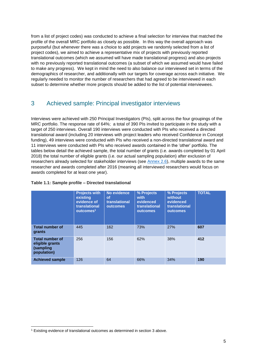from a list of project codes) was conducted to achieve a final selection for interview that matched the profile of the overall MRC portfolio as closely as possible. In this way the overall approach was purposeful (but whenever there was a choice to add projects we randomly selected from a list of project codes), we aimed to achieve a representative mix of projects with previously reported translational outcomes (which we assumed will have made translational progress) and also projects with no previously reported translational outcomes (a subset of which we assumed would have failed to make any progress). We kept in mind the need to also balance our interviewed set in terms of the demographics of researcher, and additionally with our targets for coverage across each initiative. We regularly needed to monitor the number of researchers that had agreed to be interviewed in each subset to determine whether more projects should be added to the list of potential interviewees.

## <span id="page-4-0"></span>3 Achieved sample: Principal investigator interviews

Interviews were achieved with 250 Principal Investigators (PIs), split across the four groupings of the MRC portfolio. The response rate of 64%; a total of 390 PIs invited to participate in the study with a target of 250 interviews. Overall 190 interviews were conducted with PIs who received a directed translational award (including 20 interviews with project leaders who received Confidence in Concept funding), 49 interviews were conducted with PIs who received a non-directed translational award and 11 interviews were conducted with PIs who received awards contained in the 'other' portfolio. The tables below detail the achieved sample, the total number of grants (i.e. awards completed by 01 April 2018) the total number of eligible grants (i.e. our actual sampling population) after exclusion of researchers already selected for stakeholder interviews (see [Annex 2.6\)](https://mrc.ukri.org/publications/browse/10-year-translation-research-evaluation-report-2019-annex-6/), multiple awards to the same researcher and awards completed after 2016 (meaning all interviewed researchers would focus on awards completed for at least one year).

#### <span id="page-4-1"></span>**Table 1.1: Sample profile – Directed translational**

|                                                                       | <b>Projects with</b><br>existing<br>evidence of<br>translational<br>outcomes <sup>1</sup> | No evidence<br><b>of</b><br>translational<br><b>outcomes</b> | % Projects<br>with<br>evidenced<br>translational<br>outcomes | % Projects<br>without<br>evidenced<br>translational<br>outcomes | <b>TOTAL</b> |
|-----------------------------------------------------------------------|-------------------------------------------------------------------------------------------|--------------------------------------------------------------|--------------------------------------------------------------|-----------------------------------------------------------------|--------------|
| <b>Total number of</b><br>grants                                      | 445                                                                                       | 162                                                          | 73%                                                          | 27%                                                             | 607          |
| <b>Total number of</b><br>eligible grants<br>(sampling<br>population) | 256                                                                                       | 156                                                          | 62%                                                          | 38%                                                             | 412          |
| <b>Achieved sample</b>                                                | 126                                                                                       | 64                                                           | 66%                                                          | 34%                                                             | 190          |

-

<sup>1</sup> Existing evidence of translational outcomes as determined in section 3 above.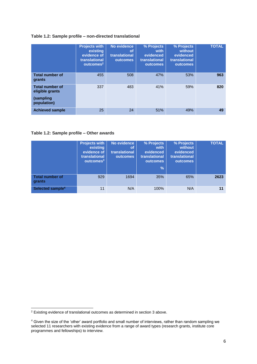#### <span id="page-5-0"></span>**Table 1.2: Sample profile – non-directed translational**

|                                                                       | <b>Projects with</b><br>existing<br>evidence of<br>translational<br>outcomes <sup>2</sup> | No evidence<br><b>of</b><br>translational<br>outcomes | % Projects<br>with<br>evidenced<br>translational<br>outcomes | % Projects<br>without<br>evidenced<br>translational<br>outcomes | <b>TOTAL</b> |
|-----------------------------------------------------------------------|-------------------------------------------------------------------------------------------|-------------------------------------------------------|--------------------------------------------------------------|-----------------------------------------------------------------|--------------|
| <b>Total number of</b><br>grants                                      | 455                                                                                       | 508                                                   | 47%                                                          | 53%                                                             | 963          |
| <b>Total number of</b><br>eligible grants<br>(sampling<br>population) | 337                                                                                       | 483                                                   | 41%                                                          | 59%                                                             | 820          |
| <b>Achieved sample</b>                                                | 25                                                                                        | 24                                                    | 51%                                                          | 49%                                                             | 49           |

#### <span id="page-5-1"></span>**Table 1.2: Sample profile – Other awards**

|                                  | <b>Projects with</b><br>existing<br>evidence of<br>translational<br>outcomes <sup>3</sup> | No evidence<br><b>of</b><br>translational<br><b>outcomes</b> | % Projects<br>with<br>evidenced<br>translational<br><b>outcomes</b><br>$\frac{9}{6}$ | % Projects<br>without<br>evidenced<br>translational<br><b>outcomes</b> | <b>TOTAL</b> |
|----------------------------------|-------------------------------------------------------------------------------------------|--------------------------------------------------------------|--------------------------------------------------------------------------------------|------------------------------------------------------------------------|--------------|
| <b>Total number of</b><br>grants | 929                                                                                       | 1694                                                         | 35%                                                                                  | 65%                                                                    | 2623         |
| Selected sample <sup>4</sup>     | 11                                                                                        | N/A                                                          | 100%                                                                                 | N/A                                                                    | 11           |

-

 $2$  Existing evidence of translational outcomes as determined in section 3 above.

 $4$  Given the size of the 'other' award portfolio and small number of interviews, rather than random sampling we selected 11 researchers with existing evidence from a range of award types (research grants, institute core programmes and fellowships) to interview.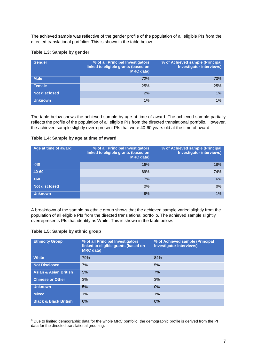The achieved sample was reflective of the gender profile of the population of all eligible PIs from the directed translational portfolio5. This is shown in the table below.

#### <span id="page-6-0"></span>**Table 1.3: Sample by gender**

| <b>Gender</b>        | % of all Principal Investigators<br>linked to eligible grants (based on<br><b>MRC</b> data) | % of Achieved sample (Principal<br><b>Investigator interviews)</b> |
|----------------------|---------------------------------------------------------------------------------------------|--------------------------------------------------------------------|
| <b>Male</b>          | 72%                                                                                         | 73%                                                                |
| Female               | 25%                                                                                         | 25%                                                                |
| <b>Not disclosed</b> | 2%                                                                                          | $1\%$                                                              |
| <b>Unknown</b>       | 1%                                                                                          | $1\%$                                                              |

The table below shows the achieved sample by age at time of award. The achieved sample partially reflects the profile of the population of all eligible PIs from the directed translational portfolio. However, the achieved sample slightly overrepresent PIs that were 40-60 years old at the time of award.

#### <span id="page-6-1"></span>**Table 1.4: Sample by age at time of award**

| Age at time of award | % of all Principal Investigators<br>linked to eligible grants (based on<br><b>MRC</b> data) | % of Achieved sample (Principal<br><b>Investigator interviews)</b> |
|----------------------|---------------------------------------------------------------------------------------------|--------------------------------------------------------------------|
| <40                  | 16%                                                                                         | 18%                                                                |
| 40-60                | 69%                                                                                         | 74%                                                                |
| $>60$                | 7%                                                                                          | 6%                                                                 |
| <b>Not disclosed</b> | 0%                                                                                          | 0%                                                                 |
| <b>Unknown</b>       | 8%                                                                                          | 1%                                                                 |

A breakdown of the sample by ethnic group shows that the achieved sample varied slightly from the population of all eligible PIs from the directed translational portfolio. The achieved sample slightly overrepresents PIs that identify as White. This is shown in the table below.

#### <span id="page-6-2"></span>**Table 1.5: Sample by ethnic group**

| <b>Ethnicity Group</b>           | % of all Principal Investigators<br>linked to eligible grants (based on<br><b>MRC</b> data) | % of Achieved sample (Principal<br><b>Investigator interviews)</b> |
|----------------------------------|---------------------------------------------------------------------------------------------|--------------------------------------------------------------------|
| <b>White</b>                     | 79%                                                                                         | 84%                                                                |
| <b>Not Disclosed</b>             | 7%                                                                                          | 5%                                                                 |
| <b>Asian &amp; Asian British</b> | 5%                                                                                          | 7%                                                                 |
| <b>Chinese or Other</b>          | 3%                                                                                          | 3%                                                                 |
| <b>Unknown</b>                   | 5%                                                                                          | 0%                                                                 |
| <b>Mixed</b>                     | 1%                                                                                          | $1\%$                                                              |
| <b>Black &amp; Black British</b> | 0%                                                                                          | 0%                                                                 |

<sup>-</sup><sup>5</sup> Due to limited demographic data for the whole MRC portfolio, the demographic profile is derived from the PI data for the directed translational grouping.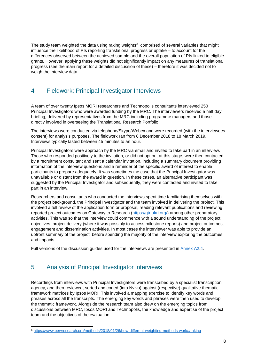The study team weighted the data using raking weights $6$  comprised of several variables that might influence the likelihood of PIs reporting translational progress or uptake – to account for the differences observed between the achieved sample and the overall population of PIs linked to eligible grants. However, applying these weights did not significantly impact on any measures of translational progress (see the main report for a detailed discussion of these) – therefore it was decided not to weigh the interview data.

## <span id="page-7-0"></span>4 Fieldwork: Principal Investigator Interviews

A team of over twenty Ipsos MORI researchers and Technopolis consultants interviewed 250 Principal Investigators who were awarded funding by the MRC. The interviewers received a half day briefing, delivered by representatives from the MRC including programme managers and those directly involved in overseeing the Translational Research Portfolio.

The interviews were conducted via telephone/Skype/Webex and were recorded (with the interviewees consent) for analysis purposes. The fieldwork ran from 6 December 2018 to 18 March 2019. Interviews typically lasted between 45 minutes to an hour.

Principal Investigators were approach by the MRC via email and invited to take part in an interview. Those who responded positively to the invitation, or did not opt out at this stage, were then contacted by a recruitment consultant and sent a calendar invitation, including a summary document providing information of the interview questions and a reminder of the specific award of interest to enable participants to prepare adequately. It was sometimes the case that the Principal Investigator was unavailable or distant from the award in question. In these cases, an alternative participant was suggested by the Principal Investigator and subsequently, they were contacted and invited to take part in an interview.

Researchers and consultants who conducted the interviews spent time familiarising themselves with the project background, the Principal Investigator and the team involved in delivering the project. This involved a full review of the application form or proposal, reading relevant publications and reviewing reported project outcomes on Gateway to Research [\(https://gtr.ukri.org/\)](https://gtr.ukri.org/) among other preparatory activities. This was so that the interview could commence with a sound understanding of the project objectives, project delivery (where it was possibly to access milestone reports) and project outcomes, engagement and dissemination activities. In most cases the interviewer was able to provide an upfront summary of the project, before spending the majority of the interview exploring the outcomes and impacts.

Full versions of the discussion guides used for the interviews are presented in [Annex A2.4.](https://mrc.ukri.org/publications/browse/10-year-translation-research-evaluation-report-2019-annex-4/)

## <span id="page-7-1"></span>5 Analysis of Principal Investigator interviews

-

Recordings from interviews with Principal Investigators were transcribed by a specialist transcription agency, and then reviewed, sorted and coded (into Nvivo) against (respective) qualitative thematic framework matrices by Ipsos MORI. This involved a mapping exercise to identify key words and phrases across all the transcripts. The emerging key words and phrases were then used to develop the thematic framework. Alongside the research team also drew on the emerging topics from discussions between MRC, Ipsos MORI and Technopolis, the knowledge and expertise of the project team and the objectives of the evaluation.

<sup>6</sup> <https://www.pewresearch.org/methods/2018/01/26/how-different-weighting-methods-work/#raking>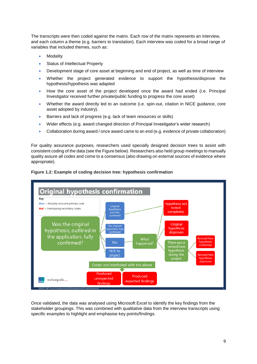The transcripts were then coded against the matrix. Each row of the matrix represents an interview, and each column a theme (e.g. barriers to translation). Each interview was coded for a broad range of variables that included themes, such as:

- Modality
- Status of Intellectual Property
- Development stage of core asset at beginning and end of project, as well as time of interview
- Whether the project generated evidence to support the hypothesis/disprove the hypothesis/hypothesis was adapted
- How the core asset of the project developed once the award had ended (i.e. Principal Investigator received further private/public funding to progress the core asset)
- Whether the award directly led to an outcome (i.e. spin-out, citation in NICE guidance, core asset adopted by industry).
- Barriers and lack of progress (e.g. lack of team resources or skills)
- Wider effects (e.g. award changed direction of Principal Investigator's wider research)
- Collaboration during award / once award came to an end (e.g. evidence of private collaboration)

For quality assurance purposes, researchers used specially designed decision trees to assist with consistent coding of the data (see the Figure below). Researchers also held group meetings to manually quality assure all codes and come to a consensus (also drawing on external sources of evidence where appropriate).

<span id="page-8-0"></span>



Once validated, the data was analysed using Microsoft Excel to identify the key findings from the stakeholder groupings. This was combined with qualitative data from the interview transcripts using specific examples to highlight and emphasise key points/findings.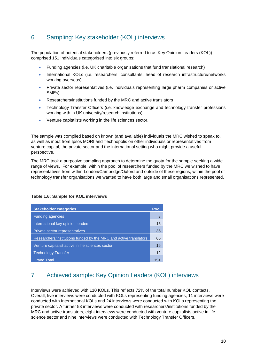## <span id="page-9-0"></span>6 Sampling: Key stakeholder (KOL) interviews

The population of potential stakeholders (previously referred to as Key Opinion Leaders (KOL)) comprised 151 individuals categorised into six groups:

- Funding agencies (i.e. UK charitable organisations that fund translational research)
- International KOLs (i.e. researchers, consultants, head of research infrastructure/networks working overseas)
- Private sector representatives (i.e. individuals representing large pharm companies or active SMEs)
- Researchers/institutions funded by the MRC and active translators
- Technology Transfer Officers (i.e. knowledge exchange and technology transfer professions working with in UK university/research institutions)
- Venture capitalists working in the life sciences sector.

The sample was compiled based on known (and available) individuals the MRC wished to speak to, as well as input from Ipsos MORI and Technopolis on other individuals or representatives from venture capital, the private sector and the international setting who might provide a useful perspective.

The MRC took a purposive sampling approach to determine the quota for the sample seeking a wide range of views. For example, within the pool of researchers funded by the MRC we wished to have representatives from within London/Cambridge/Oxford and outside of these regions, within the pool of technology transfer organisations we wanted to have both large and small organisations represented.

#### <span id="page-9-1"></span>**Table 1.6: Sample for KOL interviews**

| <b>Stakeholder categories</b>                                     | Pool |
|-------------------------------------------------------------------|------|
| <b>Funding agencies</b>                                           | 8    |
| International key opinion leaders                                 | 15   |
| Private sector representatives                                    | 36   |
| Researchers/institutions funded by the MRC and active translators | 65   |
| Venture capitalist active in life sciences sector                 | 15   |
| <b>Technology Transfer</b>                                        | 12   |
| <b>Grand Total</b>                                                | 151  |

## <span id="page-9-2"></span>7 Achieved sample: Key Opinion Leaders (KOL) interviews

Interviews were achieved with 110 KOLs. This reflects 72% of the total number KOL contacts. Overall, five interviews were conducted with KOLs representing funding agencies, 11 interviews were conducted with International KOLs and 24 interviews were conducted with KOLs representing the private sector. A further 53 interviews were conducted with researchers/institutions funded by the MRC and active translators, eight interviews were conducted with venture capitalists active in life science sector and nine interviews were conducted with Technology Transfer Officers.